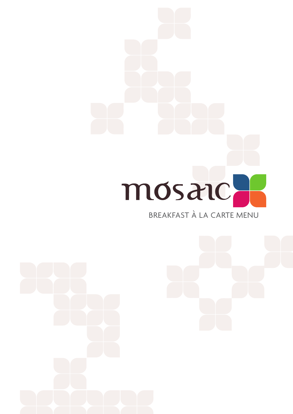

# BREAKFAST À LA CARTE MENU

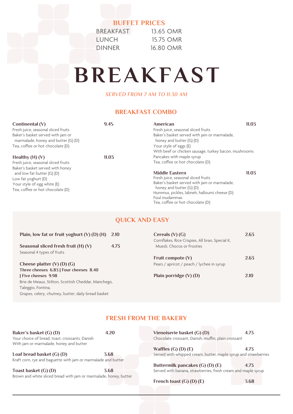# **BUFFET PRICES**

| <b>BREAKFAST</b> |  |
|------------------|--|
| <b>LUNCH</b>     |  |
| <b>DINNER</b>    |  |

13.65 OMR 15.75 OMR 16.80 OMR

# **BREAKFAST**

*SERVED FROM 7 AM TO 11.30 AM* 

# **BREAKFAST COMBO**

| Continental $(V)$<br>Fresh juice, seasonal sliced fruits<br>Baker's basket served with jam or<br>marmalade, honey and butter (G) (D)<br>Tea, coffee or hot chocolate (D) | 9.45  | American<br>Fresh juice, seasonal sliced fruits<br>Baker's basket served with jam or marmalade,<br>honey and butter (G) (D)<br>Your style of eggs (E)                                                                                                  | 11.03 |
|--------------------------------------------------------------------------------------------------------------------------------------------------------------------------|-------|--------------------------------------------------------------------------------------------------------------------------------------------------------------------------------------------------------------------------------------------------------|-------|
|                                                                                                                                                                          |       | With beef or chicken sausage, turkey bacon, mushrooms                                                                                                                                                                                                  |       |
| Healthy $(H)$ $(V)$                                                                                                                                                      | 11.03 | Pancakes with maple syrup                                                                                                                                                                                                                              |       |
| Fresh juice, seasonal sliced fruits                                                                                                                                      |       | Tea, coffee or hot chocolate (D)                                                                                                                                                                                                                       |       |
| Baker's basket served with honey<br>and low fat butter $(G)$ $(D)$<br>Low fat yoghurt (D)<br>Your style of egg white (E)<br>Tea, coffee or hot chocolate (D)             |       | 11.03<br><b>Middle Eastern</b><br>Fresh juice, seasonal sliced fruits<br>Baker's basket served with jam or marmalade,<br>honey and butter (G) (D)<br>Hummus, pickles, labneh, halloumi cheese (D)<br>Foul mudammas<br>Tea, coffee or hot chocolate (D) |       |

# **QUICK AND EASY**

| Plain, low fat or fruit yoghurt $(V)$ (D) $(H)$     | 2.10 | Cereals $(V)$ (G)                                                             | 2.63 |
|-----------------------------------------------------|------|-------------------------------------------------------------------------------|------|
| Seasonal sliced fresh fruit $(H)$ $(V)$             | 4.73 | Cornflakes, Rice Crispies, All bran, Special K,<br>Muesli, Chocos or Frosties |      |
| Seasonal 4 types of fruits                          |      |                                                                               |      |
|                                                     |      | Fruit compote $(V)$                                                           | 2.63 |
| Cheese platter $(V)$ $(D)$ $(G)$                    |      | Pears / apricot / peach / lychee in syrup                                     |      |
| Three cheeses 6.83   Four cheeses 8.40              |      |                                                                               |      |
| Five cheeses 9.98                                   |      | Plain porridge $(V)$ (D)                                                      | 2.10 |
| Brie de Meaux, Stilton, Scottish Cheddar, Manchego, |      |                                                                               |      |
| Taleggio, Fontina,                                  |      |                                                                               |      |
| Grapes, celery, chutney, butter, daily bread basket |      |                                                                               |      |

# **FRESH FROM THE BAKERY**

| Baker's basket (G) (D)                                            | 4.20 | Vienoiserie basket (G) (D)                                      | 4.73 |
|-------------------------------------------------------------------|------|-----------------------------------------------------------------|------|
| Your choice of bread, toast, croissants, Danish                   |      | Chocolate croissant, Danish, muffin, plain croissant            |      |
| With jam or marmalade, honey and butter                           |      |                                                                 |      |
|                                                                   |      | Waffles $(G)$ $(D)$ $(E)$                                       | 4.73 |
| Loaf bread basket $(G)$ $(D)$                                     | 3.68 | Served with whipped cream, butter, maple syrup and strawberries |      |
| Kraft corn, rye and baguette with jam or marmalade and butter     |      |                                                                 |      |
|                                                                   |      | Buttermilk pancakes (G) (D) (E)                                 | 4.73 |
| Toast basket (G) (D)                                              | 3.68 | Served with banana, strawberries, fresh cream and maple syrup   |      |
| Brown and white sliced bread with jam or marmalade, honey, butter |      |                                                                 |      |
|                                                                   |      | French toast $(G)$ $(D)$ $(E)$                                  | 3.68 |
|                                                                   |      |                                                                 |      |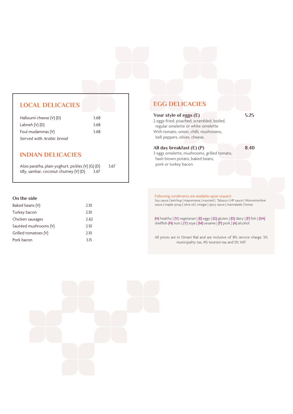### **LOCAL DELICACIES**

| Halloumi cheese (V) (D)  | 3.68 |
|--------------------------|------|
| Labneh $(V)$ $(D)$       | 3.68 |
| Foul mudammas (V)        | 3.68 |
| Served with Arabic bread |      |

## **INDIAN DELICACIES**

Aloo paratha, plain yoghurt, pickles (V) (G) (D) 3.67<br>Idly, sambar, coconut chutney (V) (D) 3.67 Idly, sambar, coconut chutney  $(V)$   $(D)$ 

#### **On the side**

| Baked beans (V)       | 2.10 |
|-----------------------|------|
| Turkey bacon          | 2.10 |
| Chicken sausages      | 2.62 |
| Sautéed mushrooms (V) | 2.10 |
| Grilled tomatoes (V)  | 2.10 |
| Pork bacon            | 3.15 |

## **EGG DELICACIES**

**Your style of eggs (E) 5.25** 2 eggs-fried, poached, scrambled, boiled, regular omelette or white omelette With tomato, onion, chilli, mushrooms, bell peppers, olives, cheese.

#### **All day breakfast (E) (P) 8.40**

3 eggs omelette, mushrooms, grilled tomato, hash brown potato, baked beans, pork or turkey bacon.

#### Following condiments are available upon request: Soy sauce | ketchup | mayonnaise | mustard | Tabasco | HP sauce | Worcestershire sauce | maple syrup | olive oil | vinegar | spicy sauce | marmalade | honey

(H) healthy | (V) vegetarian | (E) eggs | (G) gluten | (D) dairy | (F) fish | (SH) shellfish (N) nuts  $|(Y)$  soya  $|(M)$  sesame  $|(P)$  pork  $|(A)$  alcohol

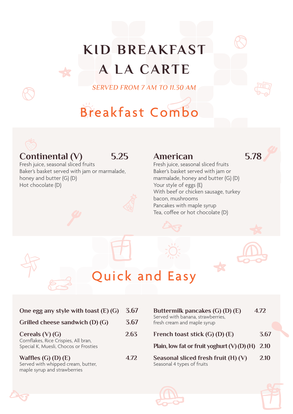# **KID BREAKFAST A LA CARTE**

*SERVED FROM 7 AM TO 11.30 AM* 

# Breakfast Combo



# **Continental (V) 5.25**

Fresh juice, seasonal sliced fruits Baker's basket served with jam or marmalade, honey and butter (G) (D) Hot chocolate (D)

# **American 5.78**

Fresh juice, seasonal sliced fruits Baker's basket served with jam or marmalade, honey and butter (G) (D) Your style of eggs (E) With beef or chicken sausage, turkey bacon, mushrooms Pancakes with maple syrup Tea, coffee or hot chocolate (D)



| One egg any style with toast (E) (G)                                                               | 3.67 |
|----------------------------------------------------------------------------------------------------|------|
| Grilled cheese sandwich (D) (G)                                                                    | 3.67 |
| Cereals $(V)$ (G)<br>Cornflakes, Rice Crispies, All bran,<br>Special K, Muesli, Chocos or Frosties | 2.63 |
| Waffles $(G)$ $(D)$ $(E)$<br>Served with whipped cream, butter,<br>maple syrup and strawberries    | 4.72 |

| Buttermilk pancakes $(G)$ $(D)$ $(E)$<br>Served with banana, strawberries,<br>fresh cream and maple syrup | 4.72 |
|-----------------------------------------------------------------------------------------------------------|------|
| French toast stick (G) (D) (E)                                                                            | 3.67 |
| Plain, low fat or fruit yoghurt $(V)$ (D) (H)                                                             | 2.10 |
| Seasonal sliced fresh fruit (H) (V)<br>Seasonal 4 types of fruits                                         | 2.10 |



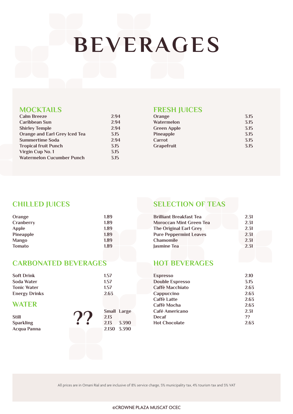# **BEVERAGES**

## **MOCKTAILS**

| <b>Calm Breeze</b>               | 2.94 |
|----------------------------------|------|
| Caribbean Sun                    | 2.94 |
| <b>Shirley Temple</b>            | 2.94 |
| Orange and Earl Grey Iced Tea    | 3.15 |
| <b>Summertime Soda</b>           | 2.94 |
| <b>Tropical fruit Punch</b>      | 3.15 |
| Virgin Cup No. 1                 | 3.15 |
| <b>Watermelon Cucumber Punch</b> | 3.15 |
|                                  |      |

# **FRESH JUICES**

| Orange             | 3.15 |
|--------------------|------|
| Watermelon         | 3.15 |
| <b>Green Apple</b> | 3.15 |
| <b>Pineapple</b>   | 3.15 |
| Carrot             | 3.15 |
| Grapefruit         | 3.15 |
|                    |      |

# **CHILLED JUICES**

| Orange        | 1.89 |
|---------------|------|
| Cranberry     | 1.89 |
| <b>Apple</b>  | 1.89 |
| Pineapple     | 1.89 |
| <b>Mango</b>  | 1.89 |
| <b>Tomato</b> | 1.89 |

# **CARBONATED BEVERAGES**

| <b>Soft Drink</b>    | 1.57                |
|----------------------|---------------------|
| Soda Water           | 1.57                |
| <b>Tonic Water</b>   | 1.57                |
| <b>Energy Drinks</b> | 2.63                |
| <b>WATER</b>         |                     |
| <b>Still</b>         | Small Large<br>2.13 |
| <b>Sparkling</b>     | 3.390<br>2.13       |
| <b>Acqua Panna</b>   | 2.130 3.390         |

# **SELECTION OF TEAS**

| <b>Brilliant Breakfast Tea</b> | 2.31 |
|--------------------------------|------|
| <b>Moroccan Mint Green Tea</b> | 2.31 |
| <b>The Original Earl Grey</b>  | 2.31 |
| <b>Pure Peppermint Leaves</b>  | 2.31 |
| <b>Chamomile</b>               | 2.31 |
| Jasmine Tea                    | 2.31 |

# **HOT BEVERAGES**

| <b>Espresso</b>        | 2.10 |
|------------------------|------|
| <b>Double Espresso</b> | 3.15 |
| Caffè Macchiato        | 2.63 |
| Cappuccino             | 2.63 |
| <b>Caffè Latte</b>     | 2.63 |
| Caffè Mocha            | 2.63 |
| Café Americano         | 2.31 |
| Decaf                  | 22   |
| <b>Hot Chocolate</b>   | 2.63 |
|                        |      |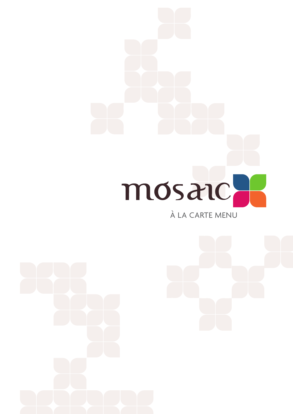

# À LA CARTE MENU

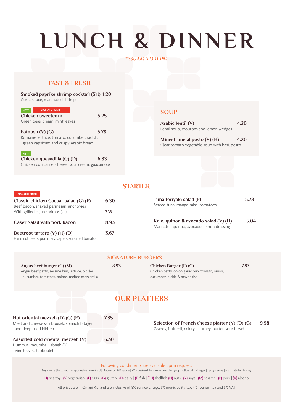# **LUNCH & DINNER**

#### *11:30AM TO 11 PM*

### **FAST & FRESH**

#### **Smoked paprike shrimp cocktail (SH) 4.20**  Cos Lettuce, maranated shrimp

| <b>NEW</b> | <b>SIGNATURE DISH</b>          |      |
|------------|--------------------------------|------|
|            | Chicken sweetcorn              | 5.25 |
|            | Green peas, cream, mint leaves |      |

**Fatoush (V) (G) 5.78** Romaine lettuce, tomato, cucumber, radish, green capsicum and crispy Arabic bread

#### **NEW Chicken quesadilla (G) (D) 6.83**  Chicken con carne, cheese, sour cream, guacamole

### **SOUP**

| Arabic lentil $(V)$                    | 4.20 |
|----------------------------------------|------|
| Lentil soup, croutons and lemon wedges |      |

**Minestrone al pesto (V) (H) 4.20** Clear tomato vegetable soup with basil pesto

## **STARTER**

**SIGNATURE BURGERS**

Hummus, moutabel, labneh (D), vine leaves, tabbouleh

| Classic chicken Caesar salad (G) (F)                                      | 6.30 |
|---------------------------------------------------------------------------|------|
| Beef bacon, shaved parmesan, anchovies<br>With grilled cajun shrimps (sh) |      |
| <b>Caser Salad with pork bacon</b>                                        |      |
| Beetroot tartare (V) (H) (D)                                              | 3.67 |
| Hand cut beets, pommery, capers, sundried tomato                          |      |

Seared tuna, mango salsa, tomatoes **Kale, quinoa & avocado salad (V) (H) 5.04** Marinated quinoa, avocado, lemon dressing

**Tuna teriyaki salad (F) 5.78**

| Angus beef burger $(G)$ $(M)$<br>Angus beef patty, sesame bun, lettuce, pickles,<br>cucumber, tomatoes, onions, melted mozzarella | 8.93                | 7.87<br>Chicken Burger (F) (G)<br>Chicken patty, onion garlic bun, tomato, onion,<br>cucumber, pickle & mayonaise |      |
|-----------------------------------------------------------------------------------------------------------------------------------|---------------------|-------------------------------------------------------------------------------------------------------------------|------|
|                                                                                                                                   | <b>OUR PLATTERS</b> |                                                                                                                   |      |
| Hot oriental mezzeh $(D)$ $(G)$ $(E)$<br>Meat and cheese sambousek, spinach fatayer<br>and deep fried kibbeh                      | 7.35                | Selection of French cheese platter $(V)$ $(D)$ $(G)$<br>Grapes, fruit roll, celery, chutney, butter, sour bread   | 9.98 |
| Assorted cold oriental mezzeh (V)                                                                                                 | 6.30                |                                                                                                                   |      |

Following condiments are available upon request:

Soy sauce | ketchup | mayonnaise | mustard | Tabasco | HP sauce | Worcestershire sauce | maple syrup | olive oil | vinegar | spicy sauce | marmalade | honey

(H) healthy | (V) vegetarian | (E) eggs | (G) gluten | (D) dairy | (F) fish | (SH) shellfish (N) nuts | (Y) soya | (M) sesame | (P) pork | (A) alcohol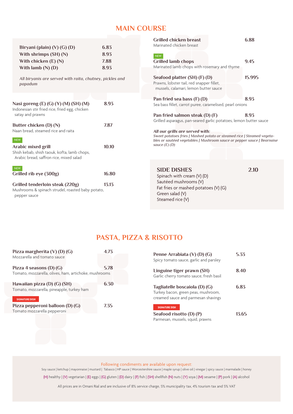# **MAIN COURSE**

| Biryani (plain) $(V)$ (G) (D)                                                                        | 6.83  | <b>Grilled chicken breast</b><br>Marinated chicken breast                                                                                                                            | 6.88   |
|------------------------------------------------------------------------------------------------------|-------|--------------------------------------------------------------------------------------------------------------------------------------------------------------------------------------|--------|
| With shrimps $(SH) (N)$                                                                              | 8.93  | <b>NEW</b>                                                                                                                                                                           |        |
| With chicken $(E)$ (N)                                                                               | 7.88  | <b>Grilled lamb chops</b>                                                                                                                                                            | 9.45   |
| With lamb $(N)$ $(D)$                                                                                | 8.93  | Marinated lamb chops with rosemary and thyme                                                                                                                                         |        |
| All biryanis are served with raita, chutney, pickles and<br>papadum                                  |       | Seafood platter (SH) (F) (D)<br>Prawns, lobster tail, red snapper fillet,<br>mussels, calamari, lemon butter sauce                                                                   | 15.995 |
|                                                                                                      |       | Pan fried sea bass (F) (D)                                                                                                                                                           | 8.93   |
| Nasi goreng (E) (G) (Y) (M) (SH) (M)<br>Indonesian stir fried rice, fried egg, chicken               | 8.93  | Sea bass fillet, carrot puree, caramelised, pearl onions                                                                                                                             |        |
| satay and prawns                                                                                     |       | Pan fried salmon steak (D) (F)                                                                                                                                                       | 8.93   |
| Butter chicken (D) (N)                                                                               | 7.87  | Grilled asparagus, pan-seared garlic potatoes, lemon butter sauce                                                                                                                    |        |
| Naan bread, steamed rice and raita<br><b>NEW</b>                                                     |       | All our grills are served with:<br>Sweet potatoes fries   Mashed potato or steamed rice   Steamed vegeta-<br>bles or sautéed vegetables   Mushroom sauce or pepper sauce   Bearnaise |        |
| Arabic mixed grill<br>Shish kebab, shish taouk, kofta, lamb chops,                                   | 10.10 | sauce $(E)$ $(D)$                                                                                                                                                                    |        |
| Arabic bread, saffron rice, mixed salad                                                              |       |                                                                                                                                                                                      |        |
| <b>NEW</b>                                                                                           |       | <b>SIDE DISHES</b>                                                                                                                                                                   | 2.10   |
| Grilled rib eye (300g)                                                                               | 16.80 | Spinach with cream (V) (D)                                                                                                                                                           |        |
| Grilled tenderloin steak (220g)<br>Mushrooms & spinach strudel, roasted baby potato,<br>pepper sauce | 13.13 | Sautéed mushrooms (V)<br>Fat fries or mashed potatoes (V) (G)<br>Green salad (V)<br>Steamed rice (V)                                                                                 |        |

# **PASTA, PIZZA & RISOTTO**

| Pizza margherita $(V)$ (D) $(G)$<br>Mozzarella and tomato sauce          | 4.73 |
|--------------------------------------------------------------------------|------|
| Pizza 4 seasons $(D)$ $(G)$                                              | 5.78 |
| Tomato, mozzarella, olives, ham, artichoke, mushrooms                    |      |
| Hawaiian pizza (D) (G) (SH)<br>Tomato, mozzarella, pineapple, turkey ham | 6.30 |
| <b>SIGNATURE DISH</b>                                                    |      |
| Pizza pepperoni balloon (D) (G)<br>Tomato mozzarella pepperoni           | 7.35 |
|                                                                          |      |

| Penne Arrabiata (V) (D) (G)<br>Spicy tomato sauce, garlic and parsley                                       | 5.33  |
|-------------------------------------------------------------------------------------------------------------|-------|
| Linguine tiger prawn (SH)<br>Garlic cherry tomato sauce, fresh basil                                        | 8.40  |
| Tagliatelle boscaiola (D) (G)<br>Turkey bacon, green peas, mushroom,<br>creamed sauce and parmesan shavings | 6.83  |
| <b>SIGNATURE DISH</b><br>Seafood risotto (D) (P)<br>Parmesan, mussels, squid, prawns                        | 13.65 |

Following condiments are available upon request:

Soy sauce | ketchup | mayonnaise | mustard | Tabasco | HP sauce | Worcestershire sauce | maple syrup | olive oil | vinegar | spicy sauce | marmalade | honey

(H) healthy | (V) vegetarian | (E) eggs | (G) gluten | (D) dairy | (F) fish | (SH) shellfish (N) nuts | (Y) soya | (M) sesame | (P) pork | (A) alcohol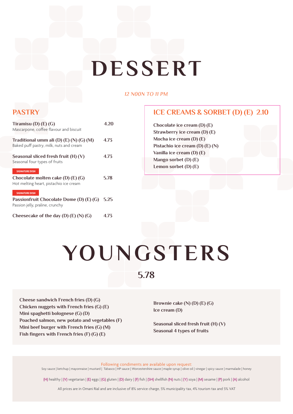# **DESSERT**

#### *12 N00N TO 11 PM*

# **PASTRY**

| Tiramisu (D) $(E)$ (G)                                                                                     | 4 20 |
|------------------------------------------------------------------------------------------------------------|------|
| Mascarpone, coffee flavour and biscuit                                                                     |      |
| Traditional umm ali $(D)$ $(E)$ $(N)$ $(G)$ $(M)$<br>Baked puff pastry, milk, nuts and cream               | 4.73 |
| Seasonal sliced fresh fruit (H) (V)<br>Seasonal four types of fruits                                       | 4.73 |
| <b>SIGNATURE DISH</b><br>Chocolate molten cake $(D)$ $(E)$ $(G)$<br>Hot melting heart, pistachio ice cream | 5.78 |
| <b>SIGNATURE DISH</b><br>Passionfruit Chocolate Dome (D) (E) (G)<br>Passion jelly, praline, crunchy        | 5.25 |
| Cheesecake of the day $(D)$ $(E)$ $(N)$ $(G)$                                                              | 4 73 |

# **ICE CREAMS & SORBET (D) (E) 2.10**

**Chocolate ice cream (D) (E) Strawberry ice cream (D) (E) Mocha ice cream (D) (E) Pistachio ice cream (D) (E) (N) Vanilla ice cream (D) (E) Mango sorbet (D) (E) Lemon sorbet (D) (E)**

# **YOUNGSTERS**

**5.78**

**Cheese sandwich French fries (D) (G) Chicken nuggets with French fries (G) (E) Mini spaghetti bolognese (G) (D) Poached salmon, new potato and vegetables (F) Mini beef burger with French fries (G) (M) Fish fingers with French fries (F) (G) (E)**

**Brownie cake (N) (D) (E) (G) Ice cream (D)**

**Seasonal sliced fresh fruit (H) (V) Seasonal 4 types of fruits**

Following condiments are available upon request: Soy sauce | ketchup | mayonnaise | mustard | Tabasco | HP sauce | Worcestershire sauce | maple syrup | olive oil | vinegar | spicy sauce | marmalade | honey

(H) healthy | (V) vegetarian | (E) eggs | (G) gluten | (D) dairy | (F) fish | (SH) shellfish (N) nuts | (Y) soya | (M) sesame | (P) pork | (A) alcohol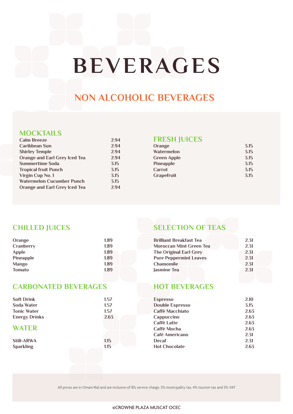# **BEVERAGES**

# **NON ALCOHOLIC BEVERAGES**

## **MOCKTAILS**

| <b>Calm Breeze</b>            | 2.94 |
|-------------------------------|------|
| <b>Caribbean Sun</b>          | 2.94 |
| <b>Shirley Temple</b>         | 2.94 |
| Orange and Earl Grey Iced Tea | 2.94 |
| <b>Summertime Soda</b>        | 3.15 |
| <b>Tropical fruit Punch</b>   | 3.15 |
| Virgin Cup No. 1              | 3.15 |
| Watermelon Cucumber Punch     | 3.15 |
| Orange and Earl Grey Iced Tea | 2.94 |

# **FRESH JUICES**

| 3.15 |
|------|
| 3.15 |
| 3.15 |
| 3.15 |
| 3.15 |
| 3.15 |
|      |

# **CHILLED JUICES**

| Orange           | 1.89 |
|------------------|------|
| Cranberry        | 1.89 |
| <b>Apple</b>     | 1.89 |
| <b>Pineapple</b> | 1.89 |
| <b>Mango</b>     | 1.89 |
| <b>Tomato</b>    | 1.89 |

# **CARBONATED BEVERAGES**

| <b>Soft Drink</b>    | 1.57 |
|----------------------|------|
| Soda Water           | 1.57 |
| <b>Tonic Water</b>   | 1.57 |
| <b>Energy Drinks</b> | 2.63 |
| <b>WATER</b>         |      |
|                      |      |
| <b>Still-ARWA</b>    | 1.15 |
| <b>Sparkling</b>     | 1.15 |

# **SELECTION OF TEAS**

| <b>Brilliant Breakfast Tea</b> | 2.31 |
|--------------------------------|------|
| <b>Moroccan Mint Green Tea</b> | 2.31 |
| <b>The Original Earl Grey</b>  | 2.31 |
| <b>Pure Peppermint Leaves</b>  | 2.31 |
| <b>Chamomile</b>               | 2.31 |
| Jasmine Tea                    | 2.31 |
|                                |      |

# **HOT BEVERAGES**

| <b>Espresso</b>        | 2.10 |
|------------------------|------|
| <b>Double Espresso</b> | 3.15 |
| Caffè Macchiato        | 2.63 |
| Cappuccino             | 2.63 |
| Caffè Latte            | 2.63 |
| Caffè Mocha            | 2.63 |
| Café Americano         | 2.31 |
| Decaf                  | 2.31 |
| <b>Hot Chocolate</b>   | 2.63 |
|                        |      |